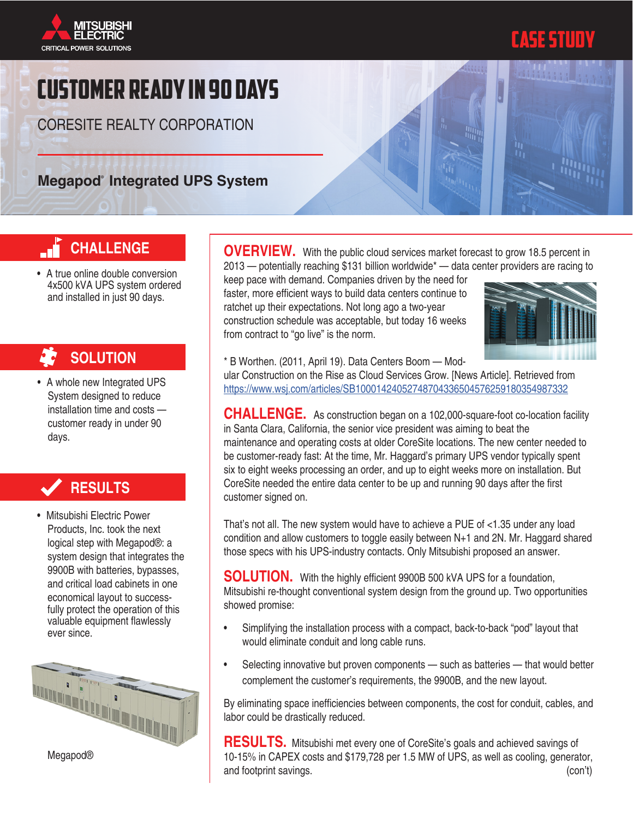



# Customer ready in 90 days

CORESITE REALTY CORPORATION

# **Megapod** Integrated UPS System

# allan n

# **CHALLENGE**

• A true online double conversion 4x500 kVA UPS system ordered and installed in just 90 days.

# **SOLUTION**

• A whole new Integrated UPS System designed to reduce installation time and costs customer ready in under 90 days.

# **RESULTS**

• Mitsubishi Electric Power Products, Inc. took the next logical step with Megapod®: a system design that integrates the 9900B with batteries, bypasses, and critical load cabinets in one economical layout to successfully protect the operation of this valuable equipment flawlessly ever since.



Megapod®

**OVERVIEW.** With the public cloud services market forecast to grow 18.5 percent in 2013 — potentially reaching \$131 billion worldwide\* — data center providers are racing to

keep pace with demand. Companies driven by the need for faster, more efficient ways to build data centers continue to ratchet up their expectations. Not long ago a two-year construction schedule was acceptable, but today 16 weeks from contract to "go live" is the norm.



\* B Worthen. (2011, April 19). Data Centers Boom — Mod-

ular Construction on the Rise as Cloud Services Grow. [News Article]. Retrieved from <https://www.wsj.com/articles/SB10001424052748704336504576259180354987332>

**CHALLENGE.** As construction began on a 102,000-square-foot co-location facility in Santa Clara, California, the senior vice president was aiming to beat the maintenance and operating costs at older CoreSite locations. The new center needed to be customer-ready fast: At the time, Mr. Haggard's primary UPS vendor typically spent six to eight weeks processing an order, and up to eight weeks more on installation. But CoreSite needed the entire data center to be up and running 90 days after the first customer signed on.

That's not all. The new system would have to achieve a PUE of <1.35 under any load condition and allow customers to toggle easily between N+1 and 2N. Mr. Haggard shared those specs with his UPS-industry contacts. Only Mitsubishi proposed an answer.

**SOLUTION.** With the highly efficient 9900B 500 kVA UPS for a foundation, Mitsubishi re-thought conventional system design from the ground up. Two opportunities showed promise:

- Simplifying the installation process with a compact, back-to-back "pod" layout that would eliminate conduit and long cable runs.
- Selecting innovative but proven components such as batteries that would better complement the customer's requirements, the 9900B, and the new layout.

By eliminating space inefficiencies between components, the cost for conduit, cables, and labor could be drastically reduced.

**RESULTS.** Mitsubishi met every one of CoreSite's goals and achieved savings of 10-15% in CAPEX costs and \$179,728 per 1.5 MW of UPS, as well as cooling, generator, and footprint savings. (con't)